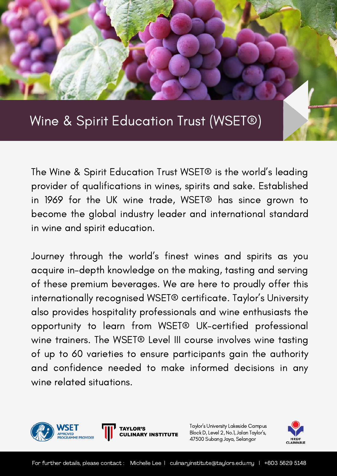# Wine & Spirit Education Trust (WSET®)

The Wine & Spirit Education Trust WSET® is the world' s leading provider of qualifications in wines, spirits and sake. Established in 1969 for the UK wine trade, WSET® has since grown to become the global industry leader and international standard in wine and spirit education.

Journey through the world' s finest wines and spirits as you acquire in-depth knowledge on the making, tasting and serving of these premium beverages. We are here to proudly offer this internationally recognised WSET® certificate. Taylor ' s University also provides hospitality professionals and wine enthusiasts the opportunity to learn from WSET® UK-certified professional wine trainers. The WSET® Level III course involves wine tasting of up to 60 varieties to ensure participants gain the authority and confidence needed to make informed decisions in any wine related situations.



Taylor's University Lakeside Campus Block D, Level 2, No.1, Jalan Taylor's, 47500 Subang Jaya, Selangor



**INSTITUTE**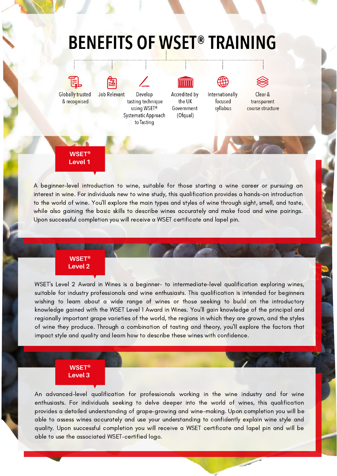# **BENEFITS OF WSET® TRAINING**



A beginner-level introduction to wine, suitable for those starting a wine career or pursuing an interest in wine. For individuals new to wine study, this qualification provides a hands-on introduction to the world of wine. You'll explore the main types and styles of wine through sight, smell, and taste, while also gaining the basic skills to describe wines accurately and make food and wine pairings. Upon successful completion you will receive a WSET certificate and lapel pin.

## **WSET® Level 2**

WSET's Level 2 Award in Wines is a beginner- to intermediate-level qualification exploring wines, suitable for industry professionals and wine enthusiasts. This qualification is intended for beginners wishing to learn about a wide range of wines or those seeking to build on the introductory knowledge gained with the WSET Level 1 Award in Wines. You'll gain knowledge of the principal and regionally important grape varieties of the world, the regions in which they are grown, and the styles of wine they produce. Through a combination of tasting and theory, you'll explore the factors that impact style and quality and learn how to describe these wines with confidence.

## **WSET® Level 3**

An advanced-level qualification for professionals working in the wine industry and for wine enthusiasts. For individuals seeking to delve deeper into the world of wines, this qualification provides a detailed understanding of grape-growing and wine-making. Upon completion you will be able to assess wines accurately and use your understanding to confidently explain wine style and quality. Upon successful completion you will receive a WSET certificate and lapel pin and will be able to use the associated WSET-certified logo.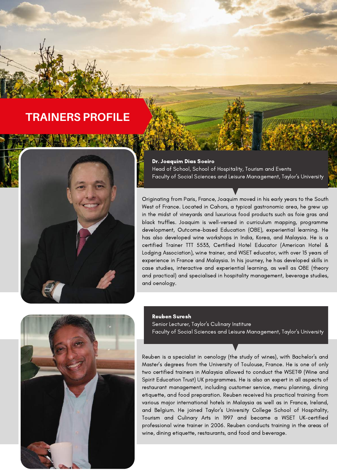# **TRAINERS PROFILE**



#### Dr. Joaquim Dias Soeiro

Head of School, School of Hospitality, Tourism and Events Faculty of Social Sciences and Leisure Management, Taylor's University

Originating from Paris, France, Joaquim moved in his early years to the South West of France. Located in Cahors, a typical gastronomic area, he grew up in the midst of vineyards and luxurious food products such as foie gras and black truffles. Joaquim is well-versed in curriculum mapping, programme development, Outcome-based Education (OBE), experiential learning. He has also developed wine workshops in India, Korea, and Malaysia. He is a certified Trainer TTT 5533, Certified Hotel Educator (American Hotel & Lodging Association), wine trainer, and WSET educator, with over 15 years of experience in France and Malaysia. In his journey, he has developed skills in case studies, interactive and experiential learning, as well as OBE (theory and practical) and specialised in hospitality management, beverage studies, and oenology.



### Reuben Suresh

Senior Lecturer, Taylor's Culinary Institure Faculty of Social Sciences and Leisure Management, Taylor's University

Reuben is a specialist in oenology (the study of wines), with Bachelor's and Master's degrees from the University of Toulouse, France. He is one of only two certified trainers in Malaysia allowed to conduct the WSET® (Wine and Spirit Education Trust) UK programmes. He is also an expert in all aspects of restaurant management, including customer service, menu planning, dining etiquette, and food preparation. Reuben received his practical training from various major international hotels in Malaysia as well as in France, Ireland, and Belgium. He joined Taylor's University College School of Hospitality, Tourism and Culinary Arts in 1997 and became a WSET UK-certified professional wine trainer in 2006. Reuben conducts training in the areas of wine, dining etiquette, restaurants, and food and beverage.